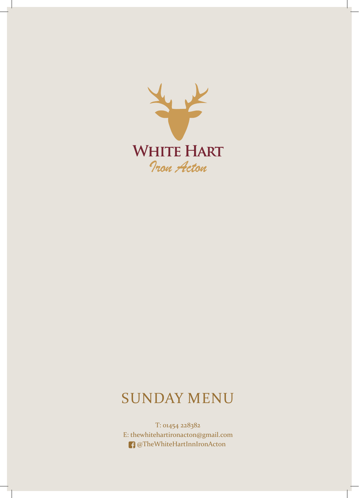

# SUNDAY MENU

T: 01454 228382 E: thewhitehartironacton@gmail.com @TheWhiteHartInnIronActon